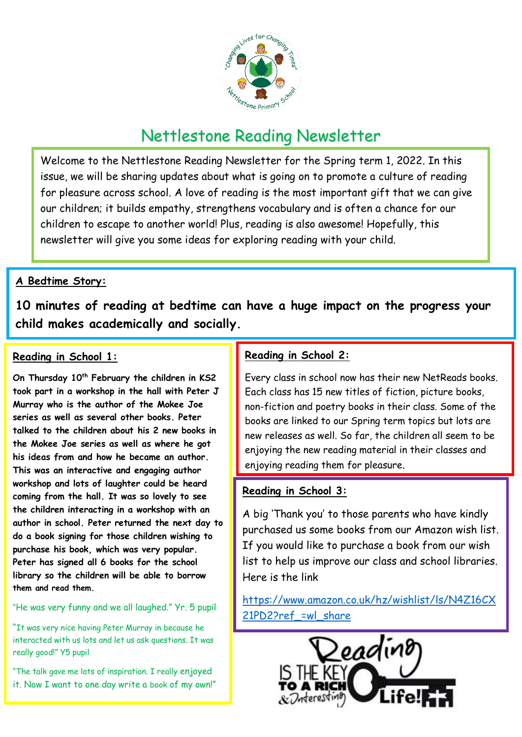

# Nettlestone Reading Newsletter

Welcome to the Nettlestone Reading Newsletter for the Spring term 1, 2022. In this issue, we will be sharing updates about what is going on to promote a culture of reading for pleasure across school. A love of reading is the most important gift that we can give our children; it builds empathy, strengthens vocabulary and is often a chance for our children to escape to another world! Plus, reading is also awesome! Hopefully, this newsletter will give you some ideas for exploring reading with your child.

# **A Bedtime Story:**

**10 minutes of reading at bedtime can have a huge impact on the progress your child makes academically and socially.** 

### **Reading in School 1:**

**On Thursday 10th February the children in KS2 took part in a workshop in the hall with Peter J Murray who is the author of the Mokee Joe series as well as several other books. Peter talked to the children about his 2 new books in the Mokee Joe series as well as where he got his ideas from and how he became an author. This was an interactive and engaging author workshop and lots of laughter could be heard coming from the hall. It was so lovely to see the children interacting in a workshop with an author in school. Peter returned the next day to do a book signing for those children wishing to purchase his book, which was very popular. Peter has signed all 6 books for the school library so the children will be able to borrow them and read them.** 

#### "He was very funny and we all laughed." Yr. 5 pupil

"It was very nice having Peter Murray in because he interacted with us lots and let us ask questions. It was really good!" Y5 pupil

"The talk gave me lots of inspiration. I really enjoyed it. Now I want to one day write a book of my own!"

# **Reading in School 2:**

Every class in school now has their new NetReads books. Each class has 15 new titles of fiction, picture books, non-fiction and poetry books in their class. Some of the books are linked to our Spring term topics but lots are new releases as well. So far, the children all seem to be enjoying the new reading material in their classes and enjoying reading them for pleasure.

### **Reading in School 3:**

A big 'Thank you' to those parents who have kindly purchased us some books from our Amazon wish list. If you would like to purchase a book from our wish list to help us improve our class and school libraries. Here is the link

[https://www.amazon.co.uk/hz/wishlist/ls/N4Z16CX](https://www.amazon.co.uk/hz/wishlist/ls/N4Z16CX21PD2?ref_=wl_share) 21PD2?ref =wl share

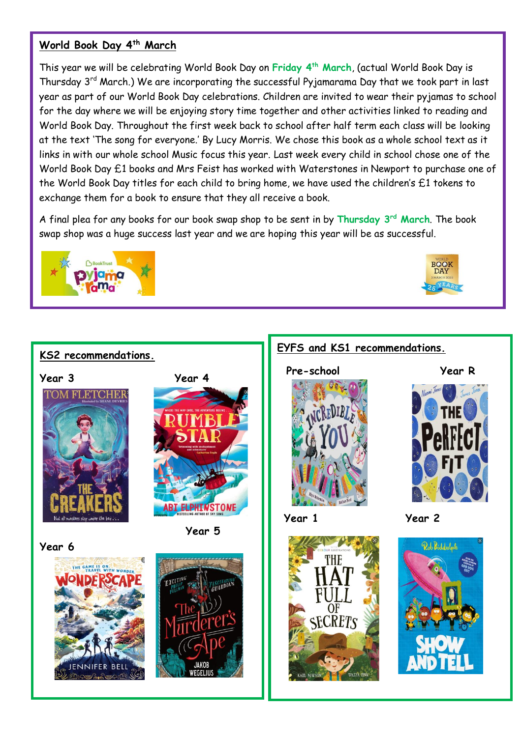### **World Book Day 4th March**

This year we will be celebrating World Book Day on **Friday 4th March**, (actual World Book Day is Thursday 3rd March.) We are incorporating the successful Pyjamarama Day that we took part in last year as part of our World Book Day celebrations. Children are invited to wear their pyjamas to school for the day where we will be enjoying story time together and other activities linked to reading and World Book Day. Throughout the first week back to school after half term each class will be looking at the text 'The song for everyone.' By Lucy Morris. We chose this book as a whole school text as it links in with our whole school Music focus this year. Last week every child in school chose one of the World Book Day £1 books and Mrs Feist has worked with Waterstones in Newport to purchase one of the World Book Day titles for each child to bring home, we have used the children's £1 tokens to exchange them for a book to ensure that they all receive a book.

A final plea for any books for our book swap shop to be sent in by **Thursday 3rd March**. The book swap shop was a huge success last year and we are hoping this year will be as successful.